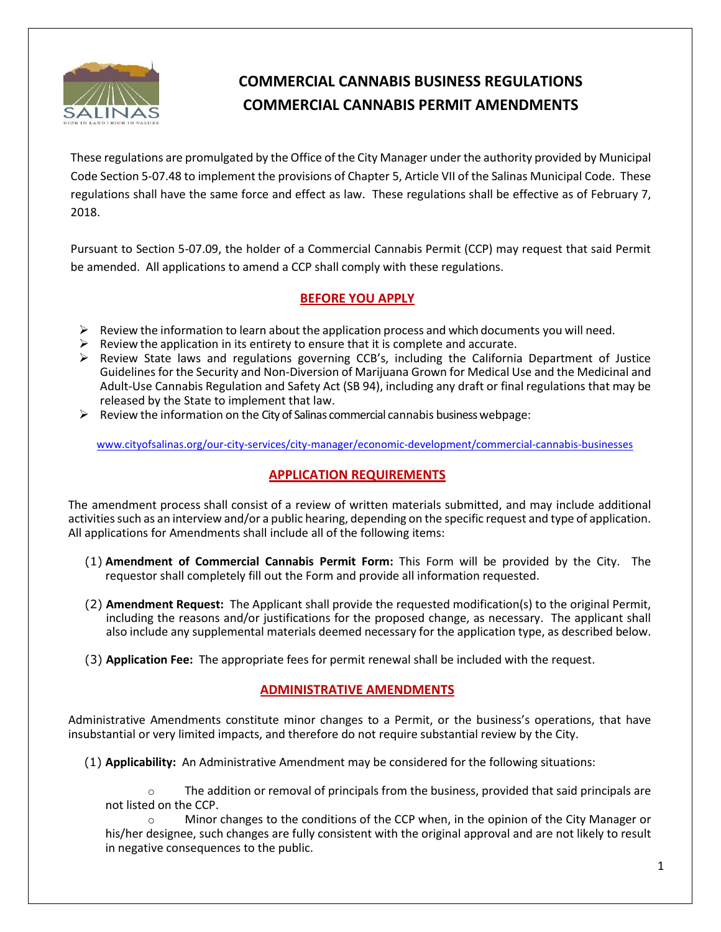

# **COMMERCIAL CANNABIS BUSINESS REGULATIONS COMMERCIAL CANNABIS PERMIT AMENDMENTS**

These regulations are promulgated by the Office of the City Manager under the authority provided by Municipal Code Section 5-07.48 to implement the provisions of Chapter 5, Article VII of the Salinas Municipal Code. These regulations shall have the same force and effect as law. These regulations shall be effective as of February 7, 2018.

Pursuant to Section 5-07.09, the holder of a Commercial Cannabis Permit (CCP) may request that said Permit be amended. All applications to amend a CCP shall comply with these regulations.

## **BEFORE YOU APPLY**

- $\triangleright$  Review the information to learn about the application process and which documents you will need.
- $\triangleright$  Review the application in its entirety to ensure that it is complete and accurate.
- $\triangleright$  Review State laws and regulations governing CCB's, including the California Department of Justice Guidelines for the Security and Non-Diversion of Marijuana Grown for Medical Use and the Medicinal and Adult-Use Cannabis Regulation and Safety Act (SB 94), including any draft or final regulations that may be released by the State to implement that law.
- $\triangleright$  Review the information on the City of Salinas commercial cannabis business webpage:

[www.cityofsalinas.org/our-city-services/city-manager/economic-development/commercial-cannabis-businesses](http://www.cityofsalinas.org/our-city-services/city-manager/economic-development/commercial-cannabis-businesses)

# **APPLICATION REQUIREMENTS**

The amendment process shall consist of a review of written materials submitted, and may include additional activities such as an interview and/or a public hearing, depending on the specific request and type of application. All applications for Amendments shall include all of the following items:

- (1) **Amendment of Commercial Cannabis Permit Form:** This Form will be provided by the City. The requestor shall completely fill out the Form and provide all information requested.
- (2) **Amendment Request:** The Applicant shall provide the requested modification(s) to the original Permit, including the reasons and/or justifications for the proposed change, as necessary. The applicant shall also include any supplemental materials deemed necessary for the application type, as described below.
- (3) **Application Fee:** The appropriate fees for permit renewal shall be included with the request.

# **ADMINISTRATIVE AMENDMENTS**

Administrative Amendments constitute minor changes to a Permit, or the business's operations, that have insubstantial or very limited impacts, and therefore do not require substantial review by the City.

(1) **Applicability:** An Administrative Amendment may be considered for the following situations:

 $\circ$  The addition or removal of principals from the business, provided that said principals are not listed on the CCP.

Minor changes to the conditions of the CCP when, in the opinion of the City Manager or his/her designee, such changes are fully consistent with the original approval and are not likely to result in negative consequences to the public.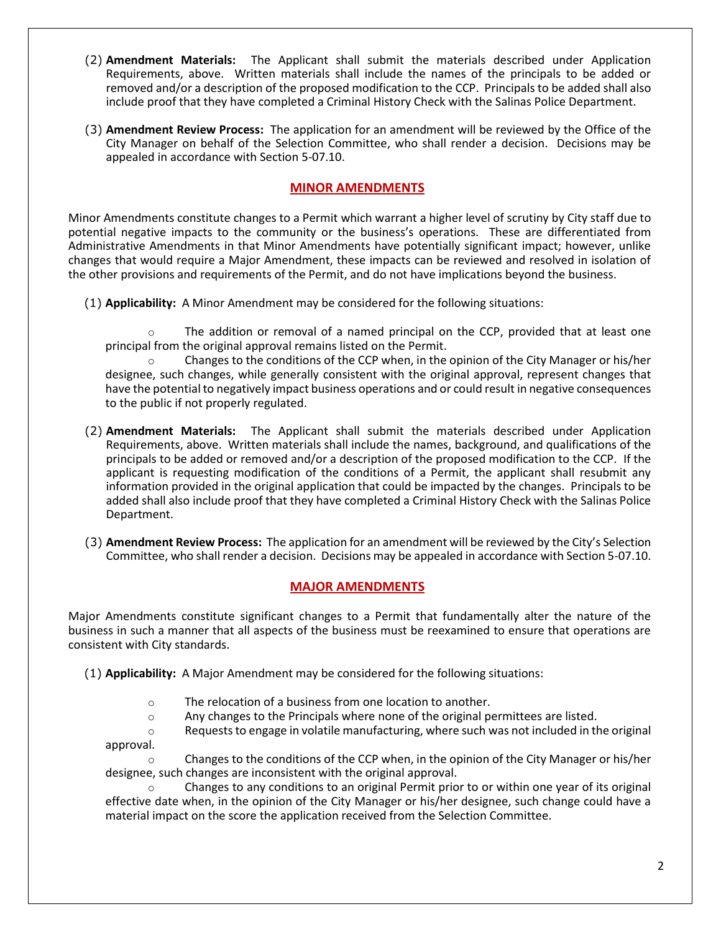- (2) **Amendment Materials:** The Applicant shall submit the materials described under Application Requirements, above. Written materials shall include the names of the principals to be added or removed and/or a description of the proposed modification to the CCP. Principals to be added shall also include proof that they have completed a Criminal History Check with the Salinas Police Department.
- (3) **Amendment Review Process:** The application for an amendment will be reviewed by the Office of the City Manager on behalf of the Selection Committee, who shall render a decision. Decisions may be appealed in accordance with Section 5-07.10.

## **MINOR AMENDMENTS**

Minor Amendments constitute changes to a Permit which warrant a higher level of scrutiny by City staff due to potential negative impacts to the community or the business's operations. These are differentiated from Administrative Amendments in that Minor Amendments have potentially significant impact; however, unlike changes that would require a Major Amendment, these impacts can be reviewed and resolved in isolation of the other provisions and requirements of the Permit, and do not have implications beyond the business.

(1) **Applicability:** A Minor Amendment may be considered for the following situations:

 $\circ$  The addition or removal of a named principal on the CCP, provided that at least one principal from the original approval remains listed on the Permit.

 $\circ$  Changes to the conditions of the CCP when, in the opinion of the City Manager or his/her designee, such changes, while generally consistent with the original approval, represent changes that have the potential to negatively impact business operations and or could result in negative consequences to the public if not properly regulated.

- (2) **Amendment Materials:** The Applicant shall submit the materials described under Application Requirements, above. Written materials shall include the names, background, and qualifications of the principals to be added or removed and/or a description of the proposed modification to the CCP. If the applicant is requesting modification of the conditions of a Permit, the applicant shall resubmit any information provided in the original application that could be impacted by the changes. Principals to be added shall also include proof that they have completed a Criminal History Check with the Salinas Police Department.
- (3) **Amendment Review Process:** The application for an amendment will be reviewed by the City's Selection Committee, who shall render a decision. Decisions may be appealed in accordance with Section 5-07.10.

### **MAJOR AMENDMENTS**

Major Amendments constitute significant changes to a Permit that fundamentally alter the nature of the business in such a manner that all aspects of the business must be reexamined to ensure that operations are consistent with City standards.

(1) **Applicability:** A Major Amendment may be considered for the following situations:

- o The relocation of a business from one location to another.
- $\circ$  Any changes to the Principals where none of the original permittees are listed.
- $\circ$  Requests to engage in volatile manufacturing, where such was not included in the original approval.

 $\circ$  Changes to the conditions of the CCP when, in the opinion of the City Manager or his/her designee, such changes are inconsistent with the original approval.

Changes to any conditions to an original Permit prior to or within one year of its original effective date when, in the opinion of the City Manager or his/her designee, such change could have a material impact on the score the application received from the Selection Committee.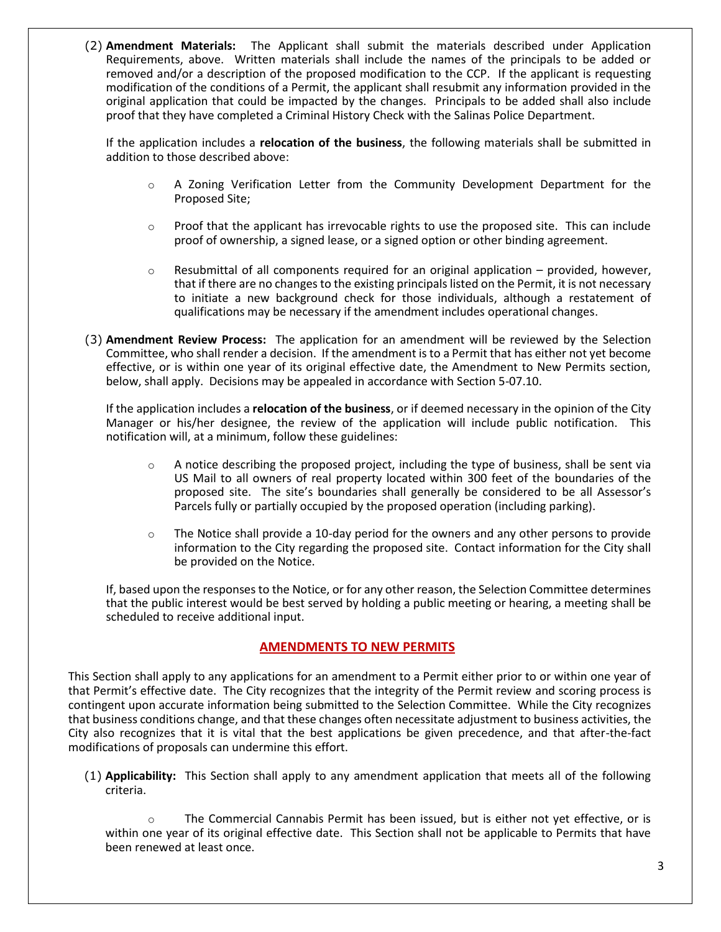(2) **Amendment Materials:** The Applicant shall submit the materials described under Application Requirements, above. Written materials shall include the names of the principals to be added or removed and/or a description of the proposed modification to the CCP. If the applicant is requesting modification of the conditions of a Permit, the applicant shall resubmit any information provided in the original application that could be impacted by the changes. Principals to be added shall also include proof that they have completed a Criminal History Check with the Salinas Police Department.

If the application includes a **relocation of the business**, the following materials shall be submitted in addition to those described above:

- $\circ$  A Zoning Verification Letter from the Community Development Department for the Proposed Site;
- $\circ$  Proof that the applicant has irrevocable rights to use the proposed site. This can include proof of ownership, a signed lease, or a signed option or other binding agreement.
- $\circ$  Resubmittal of all components required for an original application provided, however, that if there are no changes to the existing principals listed on the Permit, it is not necessary to initiate a new background check for those individuals, although a restatement of qualifications may be necessary if the amendment includes operational changes.
- (3) **Amendment Review Process:** The application for an amendment will be reviewed by the Selection Committee, who shall render a decision. If the amendment is to a Permit that has either not yet become effective, or is within one year of its original effective date, the Amendment to New Permits section, below, shall apply. Decisions may be appealed in accordance with Section 5-07.10.

If the application includes a **relocation of the business**, or if deemed necessary in the opinion of the City Manager or his/her designee, the review of the application will include public notification. This notification will, at a minimum, follow these guidelines:

- $\circ$  A notice describing the proposed project, including the type of business, shall be sent via US Mail to all owners of real property located within 300 feet of the boundaries of the proposed site. The site's boundaries shall generally be considered to be all Assessor's Parcels fully or partially occupied by the proposed operation (including parking).
- $\circ$  The Notice shall provide a 10-day period for the owners and any other persons to provide information to the City regarding the proposed site. Contact information for the City shall be provided on the Notice.

If, based upon the responses to the Notice, or for any other reason, the Selection Committee determines that the public interest would be best served by holding a public meeting or hearing, a meeting shall be scheduled to receive additional input.

### **AMENDMENTS TO NEW PERMITS**

This Section shall apply to any applications for an amendment to a Permit either prior to or within one year of that Permit's effective date. The City recognizes that the integrity of the Permit review and scoring process is contingent upon accurate information being submitted to the Selection Committee. While the City recognizes that business conditions change, and that these changes often necessitate adjustment to business activities, the City also recognizes that it is vital that the best applications be given precedence, and that after-the-fact modifications of proposals can undermine this effort.

(1) **Applicability:** This Section shall apply to any amendment application that meets all of the following criteria.

The Commercial Cannabis Permit has been issued, but is either not yet effective, or is within one year of its original effective date. This Section shall not be applicable to Permits that have been renewed at least once.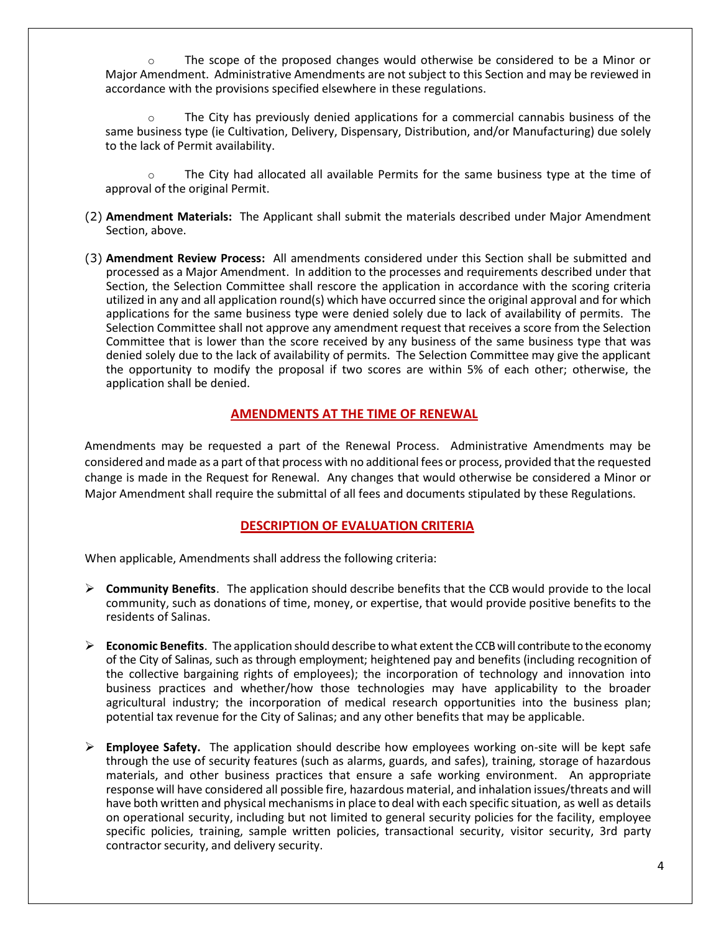o The scope of the proposed changes would otherwise be considered to be a Minor or Major Amendment. Administrative Amendments are not subject to this Section and may be reviewed in accordance with the provisions specified elsewhere in these regulations.

o The City has previously denied applications for a commercial cannabis business of the same business type (ie Cultivation, Delivery, Dispensary, Distribution, and/or Manufacturing) due solely to the lack of Permit availability.

 $\circ$  The City had allocated all available Permits for the same business type at the time of approval of the original Permit.

- (2) **Amendment Materials:** The Applicant shall submit the materials described under Major Amendment Section, above.
- (3) **Amendment Review Process:** All amendments considered under this Section shall be submitted and processed as a Major Amendment. In addition to the processes and requirements described under that Section, the Selection Committee shall rescore the application in accordance with the scoring criteria utilized in any and all application round(s) which have occurred since the original approval and for which applications for the same business type were denied solely due to lack of availability of permits. The Selection Committee shall not approve any amendment request that receives a score from the Selection Committee that is lower than the score received by any business of the same business type that was denied solely due to the lack of availability of permits. The Selection Committee may give the applicant the opportunity to modify the proposal if two scores are within 5% of each other; otherwise, the application shall be denied.

#### **AMENDMENTS AT THE TIME OF RENEWAL**

Amendments may be requested a part of the Renewal Process. Administrative Amendments may be considered and made as a part of that process with no additional fees or process, provided that the requested change is made in the Request for Renewal. Any changes that would otherwise be considered a Minor or Major Amendment shall require the submittal of all fees and documents stipulated by these Regulations.

#### **DESCRIPTION OF EVALUATION CRITERIA**

When applicable, Amendments shall address the following criteria:

- ➢ **Community Benefits**. The application should describe benefits that the CCB would provide to the local community, such as donations of time, money, or expertise, that would provide positive benefits to the residents of Salinas.
- ➢ **Economic Benefits**. The application should describe to what extentthe CCB will contribute to the economy of the City of Salinas, such as through employment; heightened pay and benefits (including recognition of the collective bargaining rights of employees); the incorporation of technology and innovation into business practices and whether/how those technologies may have applicability to the broader agricultural industry; the incorporation of medical research opportunities into the business plan; potential tax revenue for the City of Salinas; and any other benefits that may be applicable.
- ➢ **Employee Safety.** The application should describe how employees working on-site will be kept safe through the use of security features (such as alarms, guards, and safes), training, storage of hazardous materials, and other business practices that ensure a safe working environment. An appropriate response will have considered all possible fire, hazardous material, and inhalation issues/threats and will have both written and physical mechanisms in place to deal with each specific situation, as well as details on operational security, including but not limited to general security policies for the facility, employee specific policies, training, sample written policies, transactional security, visitor security, 3rd party contractor security, and delivery security.